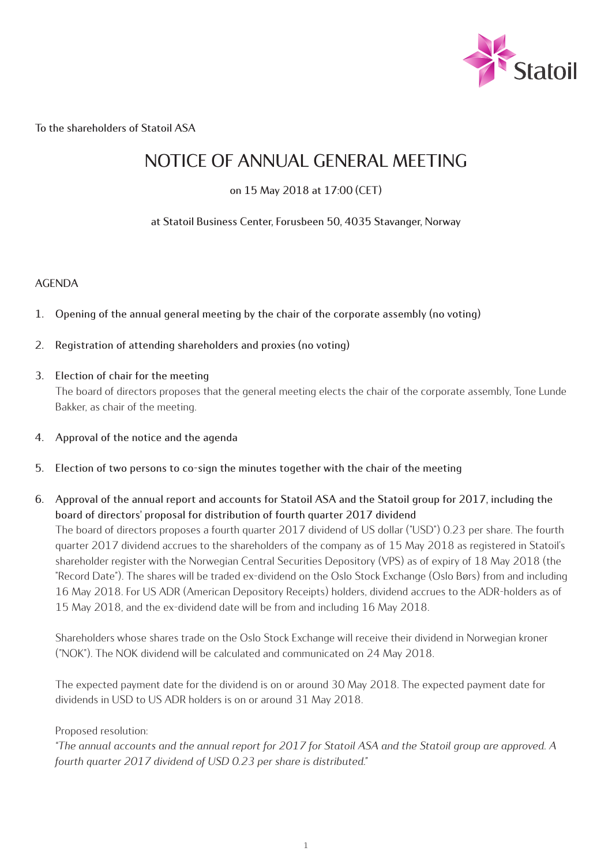

**To the shareholders of Statoil ASA**

# **NOTICE OF ANNUAL GENERAL MEETING**

**on 15 May 2018 at 17:00 (CET)**

**at Statoil Business Center, Forusbeen 50, 4035 Stavanger, Norway**

## **AGENDA**

- **1. Opening of the annual general meeting by the chair of the corporate assembly (no voting)**
- **2. Registration of attending shareholders and proxies (no voting)**
- **3. Election of chair for the meeting** The board of directors proposes that the general meeting elects the chair of the corporate assembly, Tone Lunde Bakker, as chair of the meeting.
- **4. Approval of the notice and the agenda**
- **5. Election of two persons to co-sign the minutes together with the chair of the meeting**
- **6. Approval of the annual report and accounts for Statoil ASA and the Statoil group for 2017, including the board of directors' proposal for distribution of fourth quarter 2017 dividend** The board of directors proposes a fourth quarter 2017 dividend of US dollar ("USD") 0.23 per share. The fourth quarter 2017 dividend accrues to the shareholders of the company as of 15 May 2018 as registered in Statoil's shareholder register with the Norwegian Central Securities Depository (VPS) as of expiry of 18 May 2018 (the "Record Date"). The shares will be traded ex-dividend on the Oslo Stock Exchange (Oslo Børs) from and including 16 May 2018. For US ADR (American Depository Receipts) holders, dividend accrues to the ADR-holders as of 15 May 2018, and the ex-dividend date will be from and including 16 May 2018.

Shareholders whose shares trade on the Oslo Stock Exchange will receive their dividend in Norwegian kroner ("NOK"). The NOK dividend will be calculated and communicated on 24 May 2018.

The expected payment date for the dividend is on or around 30 May 2018. The expected payment date for dividends in USD to US ADR holders is on or around 31 May 2018.

## Proposed resolution:

*"The annual accounts and the annual report for 2017 for Statoil ASA and the Statoil group are approved. A fourth quarter 2017 dividend of USD 0.23 per share is distributed."*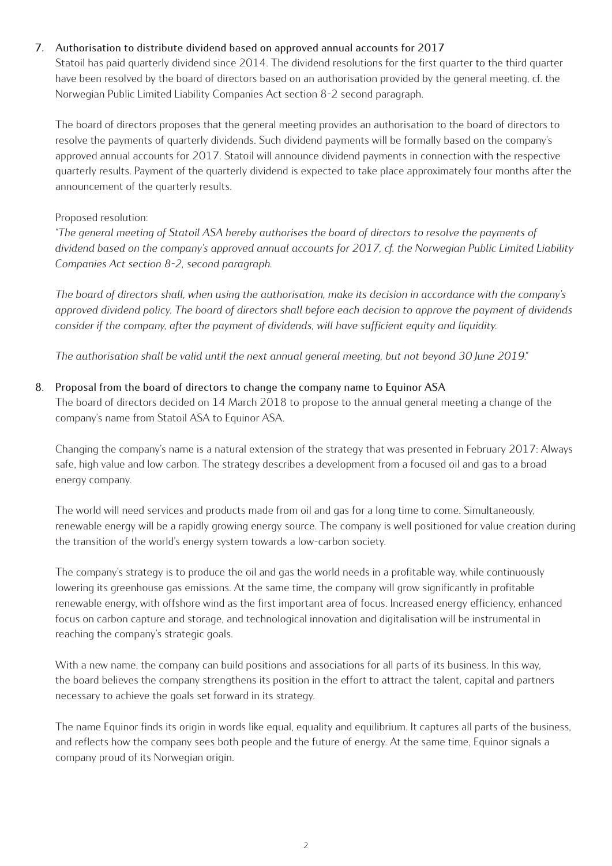## **7. Authorisation to distribute dividend based on approved annual accounts for 2017**

Statoil has paid quarterly dividend since 2014. The dividend resolutions for the first quarter to the third quarter have been resolved by the board of directors based on an authorisation provided by the general meeting, cf. the Norwegian Public Limited Liability Companies Act section 8-2 second paragraph.

The board of directors proposes that the general meeting provides an authorisation to the board of directors to resolve the payments of quarterly dividends. Such dividend payments will be formally based on the company's approved annual accounts for 2017. Statoil will announce dividend payments in connection with the respective quarterly results. Payment of the quarterly dividend is expected to take place approximately four months after the announcement of the quarterly results.

## Proposed resolution:

*"The general meeting of Statoil ASA hereby authorises the board of directors to resolve the payments of dividend based on the company's approved annual accounts for 2017, cf. the Norwegian Public Limited Liability Companies Act section 8-2, second paragraph.*

*The board of directors shall, when using the authorisation, make its decision in accordance with the company's approved dividend policy. The board of directors shall before each decision to approve the payment of dividends consider if the company, after the payment of dividends, will have sufficient equity and liquidity.*

*The authorisation shall be valid until the next annual general meeting, but not beyond 30 June 2019."*

## **8. Proposal from the board of directors to change the company name to Equinor ASA**

The board of directors decided on 14 March 2018 to propose to the annual general meeting a change of the company's name from Statoil ASA to Equinor ASA.

Changing the company's name is a natural extension of the strategy that was presented in February 2017: Always safe, high value and low carbon. The strategy describes a development from a focused oil and gas to a broad energy company.

The world will need services and products made from oil and gas for a long time to come. Simultaneously, renewable energy will be a rapidly growing energy source. The company is well positioned for value creation during the transition of the world's energy system towards a low-carbon society.

The company's strategy is to produce the oil and gas the world needs in a profitable way, while continuously lowering its greenhouse gas emissions. At the same time, the company will grow significantly in profitable renewable energy, with offshore wind as the first important area of focus. Increased energy efficiency, enhanced focus on carbon capture and storage, and technological innovation and digitalisation will be instrumental in reaching the company's strategic goals.

With a new name, the company can build positions and associations for all parts of its business. In this way, the board believes the company strengthens its position in the effort to attract the talent, capital and partners necessary to achieve the goals set forward in its strategy.

The name Equinor finds its origin in words like equal, equality and equilibrium. It captures all parts of the business, and reflects how the company sees both people and the future of energy. At the same time, Equinor signals a company proud of its Norwegian origin.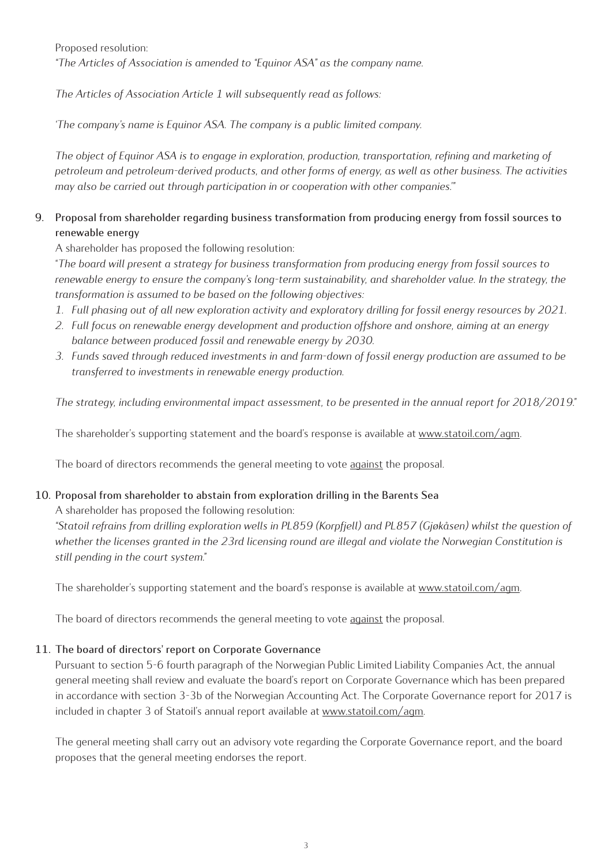Proposed resolution: *"The Articles of Association is amended to "Equinor ASA" as the company name.*

*The Articles of Association Article 1 will subsequently read as follows:* 

*'The company's name is Equinor ASA. The company is a public limited company.* 

*The object of Equinor ASA is to engage in exploration, production, transportation, refining and marketing of petroleum and petroleum-derived products, and other forms of energy, as well as other business. The activities may also be carried out through participation in or cooperation with other companies.'"*

## **9. Proposal from shareholder regarding business transformation from producing energy from fossil sources to renewable energy**

A shareholder has proposed the following resolution:

"*The board will present a strategy for business transformation from producing energy from fossil sources to*  renewable energy to ensure the company's long-term sustainability, and shareholder value. In the strategy, the *transformation is assumed to be based on the following objectives:*

- *1. Full phasing out of all new exploration activity and exploratory drilling for fossil energy resources by 2021.*
- *2. Full focus on renewable energy development and production offshore and onshore, aiming at an energy balance between produced fossil and renewable energy by 2030.*
- *3. Funds saved through reduced investments in and farm-down of fossil energy production are assumed to be transferred to investments in renewable energy production.*

*The strategy, including environmental impact assessment, to be presented in the annual report for 2018/2019."*

The shareholder's supporting statement and the board's response is available at www.statoil.com/agm.

The board of directors recommends the general meeting to vote against the proposal.

# **10. Proposal from shareholder to abstain from exploration drilling in the Barents Sea**

A shareholder has proposed the following resolution:

*"Statoil refrains from drilling exploration wells in PL859 (Korpfjell) and PL857 (Gjøkåsen) whilst the question of whether the licenses granted in the 23rd licensing round are illegal and violate the Norwegian Constitution is still pending in the court system."*

The shareholder's supporting statement and the board's response is available at www.statoil.com/agm.

The board of directors recommends the general meeting to vote against the proposal.

## **11. The board of directors' report on Corporate Governance**

Pursuant to section 5-6 fourth paragraph of the Norwegian Public Limited Liability Companies Act, the annual general meeting shall review and evaluate the board's report on Corporate Governance which has been prepared in accordance with section 3-3b of the Norwegian Accounting Act. The Corporate Governance report for 2017 is included in chapter 3 of Statoil's annual report available at www.statoil.com/agm.

The general meeting shall carry out an advisory vote regarding the Corporate Governance report, and the board proposes that the general meeting endorses the report.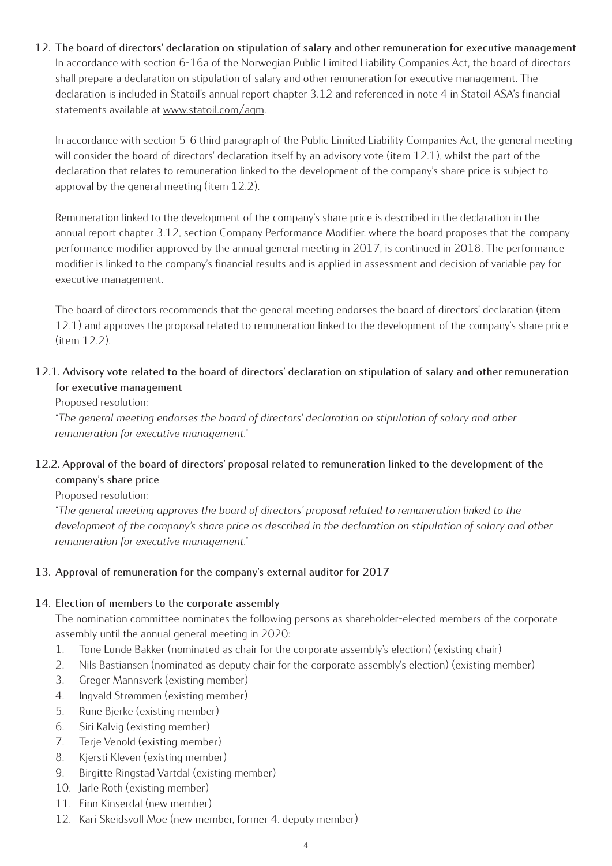**12. The board of directors' declaration on stipulation of salary and other remuneration for executive management**  In accordance with section 6-16a of the Norwegian Public Limited Liability Companies Act, the board of directors shall prepare a declaration on stipulation of salary and other remuneration for executive management. The declaration is included in Statoil's annual report chapter 3.12 and referenced in note 4 in Statoil ASA's financial statements available at www.statoil.com/agm.

In accordance with section 5-6 third paragraph of the Public Limited Liability Companies Act, the general meeting will consider the board of directors' declaration itself by an advisory vote (item 12.1), whilst the part of the declaration that relates to remuneration linked to the development of the company's share price is subject to approval by the general meeting (item 12.2).

Remuneration linked to the development of the company's share price is described in the declaration in the annual report chapter 3.12, section Company Performance Modifier, where the board proposes that the company performance modifier approved by the annual general meeting in 2017, is continued in 2018. The performance modifier is linked to the company's financial results and is applied in assessment and decision of variable pay for executive management.

The board of directors recommends that the general meeting endorses the board of directors' declaration (item 12.1) and approves the proposal related to remuneration linked to the development of the company's share price (item 12.2).

## **12.1. Advisory vote related to the board of directors' declaration on stipulation of salary and other remuneration for executive management**

Proposed resolution:

*"The general meeting endorses the board of directors' declaration on stipulation of salary and other remuneration for executive management."*

## **12.2. Approval of the board of directors' proposal related to remuneration linked to the development of the company's share price**

Proposed resolution:

*"The general meeting approves the board of directors' proposal related to remuneration linked to the development of the company's share price as described in the declaration on stipulation of salary and other remuneration for executive management."* 

## **13. Approval of remuneration for the company's external auditor for 2017**

## **14. Election of members to the corporate assembly**

The nomination committee nominates the following persons as shareholder-elected members of the corporate assembly until the annual general meeting in 2020:

- 1. Tone Lunde Bakker (nominated as chair for the corporate assembly's election) (existing chair)
- 2. Nils Bastiansen (nominated as deputy chair for the corporate assembly's election) (existing member)
- 3. Greger Mannsverk (existing member)
- 4. Ingvald Strømmen (existing member)
- 5. Rune Bjerke (existing member)
- 6. Siri Kalvig (existing member)
- 7. Terje Venold (existing member)
- 8. Kjersti Kleven (existing member)
- 9. Birgitte Ringstad Vartdal (existing member)
- 10. Jarle Roth (existing member)
- 11. Finn Kinserdal (new member)
- 12. Kari Skeidsvoll Moe (new member, former 4. deputy member)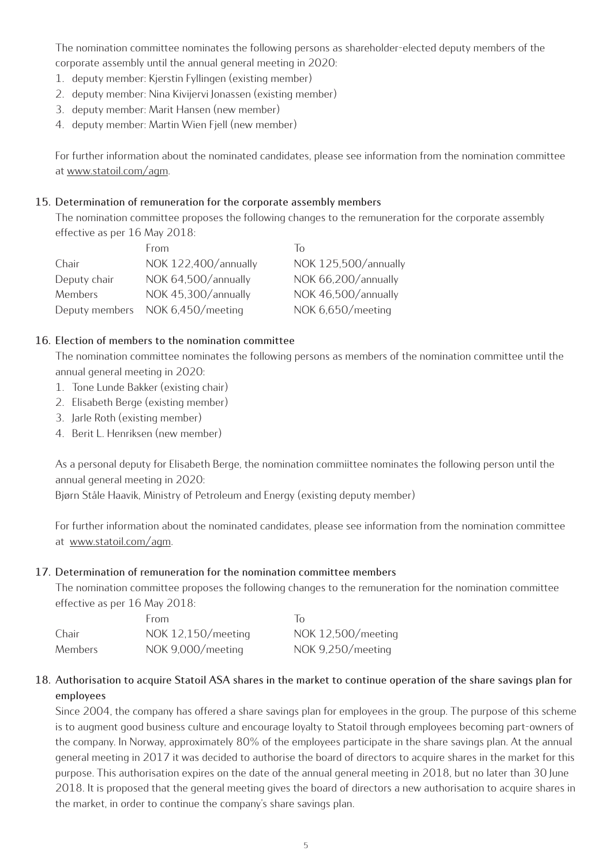The nomination committee nominates the following persons as shareholder-elected deputy members of the corporate assembly until the annual general meeting in 2020:

- 1. deputy member: Kjerstin Fyllingen (existing member)
- 2. deputy member: Nina Kivijervi Jonassen (existing member)
- 3. deputy member: Marit Hansen (new member)
- 4. deputy member: Martin Wien Fjell (new member)

For further information about the nominated candidates, please see information from the nomination committee at www.statoil.com/agm.

## **15. Determination of remuneration for the corporate assembly members**

The nomination committee proposes the following changes to the remuneration for the corporate assembly effective as per 16 May 2018:

|                | <b>From</b>          | $\overline{10}$      |
|----------------|----------------------|----------------------|
| Chair          | NOK 122,400/annually | NOK 125,500/annually |
| Deputy chair   | NOK 64,500/annually  | NOK 66,200/annually  |
| Members        | NOK 45,300/annually  | NOK 46,500/annually  |
| Deputy members | NOK 6,450/meeting    | NOK 6,650/meeting    |

## **16. Election of members to the nomination committee**

The nomination committee nominates the following persons as members of the nomination committee until the annual general meeting in 2020:

- 1. Tone Lunde Bakker (existing chair)
- 2. Elisabeth Berge (existing member)
- 3. Jarle Roth (existing member)
- 4. Berit L. Henriksen (new member)

As a personal deputy for Elisabeth Berge, the nomination commiittee nominates the following person until the annual general meeting in 2020:

Bjørn Ståle Haavik, Ministry of Petroleum and Energy (existing deputy member)

For further information about the nominated candidates, please see information from the nomination committee at www.statoil.com/agm.

#### **17. Determination of remuneration for the nomination committee members**

The nomination committee proposes the following changes to the remuneration for the nomination committee effective as per 16 May 2018:

|         | From               | $\overline{10}$    |
|---------|--------------------|--------------------|
| Chair   | NOK 12,150/meeting | NOK 12,500/meeting |
| Members | NOK 9,000/meeting  | NOK 9,250/meeting  |

## **18. Authorisation to acquire Statoil ASA shares in the market to continue operation of the share savings plan for employees**

Since 2004, the company has offered a share savings plan for employees in the group. The purpose of this scheme is to augment good business culture and encourage loyalty to Statoil through employees becoming part-owners of the company. In Norway, approximately 80% of the employees participate in the share savings plan. At the annual general meeting in 2017 it was decided to authorise the board of directors to acquire shares in the market for this purpose. This authorisation expires on the date of the annual general meeting in 2018, but no later than 30 June 2018. It is proposed that the general meeting gives the board of directors a new authorisation to acquire shares in the market, in order to continue the company's share savings plan.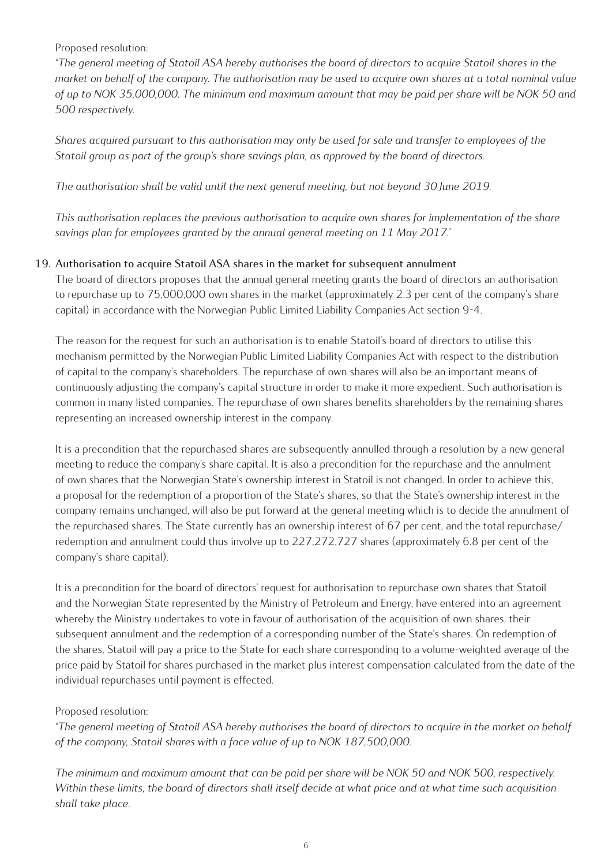## Proposed resolution:

*"The general meeting of Statoil ASA hereby authorises the board of directors to acquire Statoil shares in the market on behalf of the company. The authorisation may be used to acquire own shares at a total nominal value of up to NOK 35,000,000. The minimum and maximum amount that may be paid per share will be NOK 50 and 500 respectively.*

*Shares acquired pursuant to this authorisation may only be used for sale and transfer to employees of the Statoil group as part of the group's share savings plan, as approved by the board of directors.* 

*The authorisation shall be valid until the next general meeting, but not beyond 30 June 2019.* 

*This authorisation replaces the previous authorisation to acquire own shares for implementation of the share savings plan for employees granted by the annual general meeting on 11 May 2017."*

## **19. Authorisation to acquire Statoil ASA shares in the market for subsequent annulment**

The board of directors proposes that the annual general meeting grants the board of directors an authorisation to repurchase up to 75,000,000 own shares in the market (approximately 2.3 per cent of the company's share capital) in accordance with the Norwegian Public Limited Liability Companies Act section 9-4.

The reason for the request for such an authorisation is to enable Statoil's board of directors to utilise this mechanism permitted by the Norwegian Public Limited Liability Companies Act with respect to the distribution of capital to the company's shareholders. The repurchase of own shares will also be an important means of continuously adjusting the company's capital structure in order to make it more expedient. Such authorisation is common in many listed companies. The repurchase of own shares benefits shareholders by the remaining shares representing an increased ownership interest in the company.

It is a precondition that the repurchased shares are subsequently annulled through a resolution by a new general meeting to reduce the company's share capital. It is also a precondition for the repurchase and the annulment of own shares that the Norwegian State's ownership interest in Statoil is not changed. In order to achieve this, a proposal for the redemption of a proportion of the State's shares, so that the State's ownership interest in the company remains unchanged, will also be put forward at the general meeting which is to decide the annulment of the repurchased shares. The State currently has an ownership interest of 67 per cent, and the total repurchase/ redemption and annulment could thus involve up to 227,272,727 shares (approximately 6.8 per cent of the company's share capital).

It is a precondition for the board of directors' request for authorisation to repurchase own shares that Statoil and the Norwegian State represented by the Ministry of Petroleum and Energy, have entered into an agreement whereby the Ministry undertakes to vote in favour of authorisation of the acquisition of own shares, their subsequent annulment and the redemption of a corresponding number of the State's shares. On redemption of the shares, Statoil will pay a price to the State for each share corresponding to a volume-weighted average of the price paid by Statoil for shares purchased in the market plus interest compensation calculated from the date of the individual repurchases until payment is effected.

## Proposed resolution:

*"The general meeting of Statoil ASA hereby authorises the board of directors to acquire in the market on behalf of the company, Statoil shares with a face value of up to NOK 187,500,000.* 

*The minimum and maximum amount that can be paid per share will be NOK 50 and NOK 500, respectively. Within these limits, the board of directors shall itself decide at what price and at what time such acquisition shall take place.*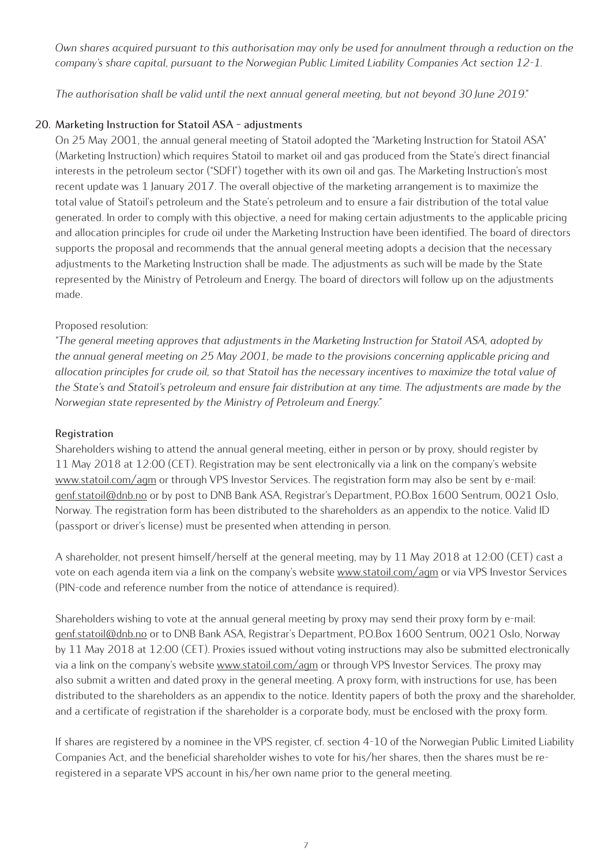*Own shares acquired pursuant to this authorisation may only be used for annulment through a reduction on the company's share capital, pursuant to the Norwegian Public Limited Liability Companies Act section 12-1.*

*The authorisation shall be valid until the next annual general meeting, but not beyond 30 June 2019."*

## **20. Marketing Instruction for Statoil ASA – adjustments**

On 25 May 2001, the annual general meeting of Statoil adopted the "Marketing Instruction for Statoil ASA" (Marketing Instruction) which requires Statoil to market oil and gas produced from the State's direct financial interests in the petroleum sector ("SDFI") together with its own oil and gas. The Marketing Instruction's most recent update was 1 January 2017. The overall objective of the marketing arrangement is to maximize the total value of Statoil's petroleum and the State's petroleum and to ensure a fair distribution of the total value generated. In order to comply with this objective, a need for making certain adjustments to the applicable pricing and allocation principles for crude oil under the Marketing Instruction have been identified. The board of directors supports the proposal and recommends that the annual general meeting adopts a decision that the necessary adjustments to the Marketing Instruction shall be made. The adjustments as such will be made by the State represented by the Ministry of Petroleum and Energy. The board of directors will follow up on the adjustments made.

## Proposed resolution:

*"The general meeting approves that adjustments in the Marketing Instruction for Statoil ASA, adopted by the annual general meeting on 25 May 2001, be made to the provisions concerning applicable pricing and allocation principles for crude oil, so that Statoil has the necessary incentives to maximize the total value of the State's and Statoil's petroleum and ensure fair distribution at any time. The adjustments are made by the Norwegian state represented by the Ministry of Petroleum and Energy."* 

#### **Registration**

Shareholders wishing to attend the annual general meeting, either in person or by proxy, should register by 11 May 2018 at 12:00 (CET). Registration may be sent electronically via a link on the company's website www.statoil.com/agm or through VPS Investor Services. The registration form may also be sent by e-mail: genf.statoil@dnb.no or by post to DNB Bank ASA, Registrar's Department, P.O.Box 1600 Sentrum, 0021 Oslo, Norway. The registration form has been distributed to the shareholders as an appendix to the notice. Valid ID (passport or driver's license) must be presented when attending in person.

A shareholder, not present himself/herself at the general meeting, may by 11 May 2018 at 12:00 (CET) cast a vote on each agenda item via a link on the company's website www.statoil.com/agm or via VPS Investor Services (PIN-code and reference number from the notice of attendance is required).

Shareholders wishing to vote at the annual general meeting by proxy may send their proxy form by e-mail: genf.statoil@dnb.no or to DNB Bank ASA, Registrar's Department, P.O.Box 1600 Sentrum, 0021 Oslo, Norway by 11 May 2018 at 12:00 (CET). Proxies issued without voting instructions may also be submitted electronically via a link on the company's website www.statoil.com/agm or through VPS Investor Services. The proxy may also submit a written and dated proxy in the general meeting. A proxy form, with instructions for use, has been distributed to the shareholders as an appendix to the notice. Identity papers of both the proxy and the shareholder, and a certificate of registration if the shareholder is a corporate body, must be enclosed with the proxy form.

If shares are registered by a nominee in the VPS register, cf. section 4-10 of the Norwegian Public Limited Liability Companies Act, and the beneficial shareholder wishes to vote for his/her shares, then the shares must be reregistered in a separate VPS account in his/her own name prior to the general meeting.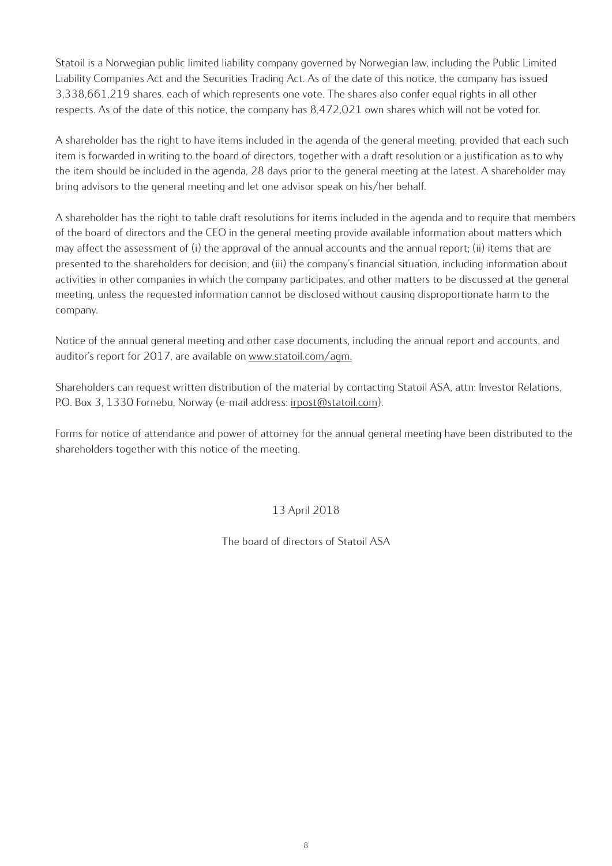Statoil is a Norwegian public limited liability company governed by Norwegian law, including the Public Limited Liability Companies Act and the Securities Trading Act. As of the date of this notice, the company has issued 3,338,661,219 shares, each of which represents one vote. The shares also confer equal rights in all other respects. As of the date of this notice, the company has 8,472,021 own shares which will not be voted for.

A shareholder has the right to have items included in the agenda of the general meeting, provided that each such item is forwarded in writing to the board of directors, together with a draft resolution or a justification as to why the item should be included in the agenda, 28 days prior to the general meeting at the latest. A shareholder may bring advisors to the general meeting and let one advisor speak on his/her behalf.

A shareholder has the right to table draft resolutions for items included in the agenda and to require that members of the board of directors and the CEO in the general meeting provide available information about matters which may affect the assessment of (i) the approval of the annual accounts and the annual report; (ii) items that are presented to the shareholders for decision; and (iii) the company's financial situation, including information about activities in other companies in which the company participates, and other matters to be discussed at the general meeting, unless the requested information cannot be disclosed without causing disproportionate harm to the company.

Notice of the annual general meeting and other case documents, including the annual report and accounts, and auditor's report for 2017, are available on www.statoil.com/agm.

Shareholders can request written distribution of the material by contacting Statoil ASA, attn: Investor Relations, P.O. Box 3, 1330 Fornebu, Norway (e-mail address: irpost@statoil.com).

Forms for notice of attendance and power of attorney for the annual general meeting have been distributed to the shareholders together with this notice of the meeting.

## 13 April 2018

The board of directors of Statoil ASA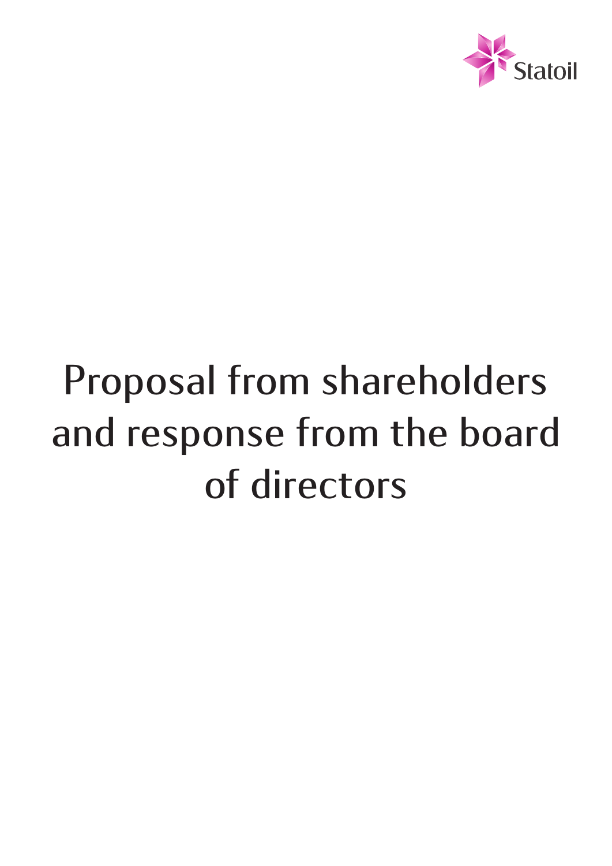

# **Proposal from shareholders and response from the board of directors**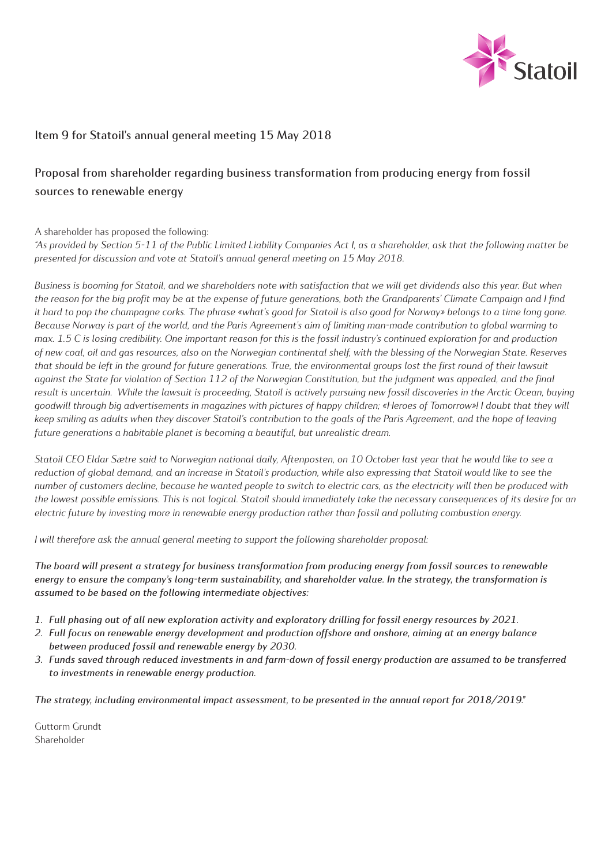

## **Item 9 for Statoil's annual general meeting 15 May 2018**

## **Proposal from shareholder regarding business transformation from producing energy from fossil sources to renewable energy**

A shareholder has proposed the following:

*"As provided by Section 5-11 of the Public Limited Liability Companies Act I, as a shareholder, ask that the following matter be presented for discussion and vote at Statoil's annual general meeting on 15 May 2018.* 

*Business is booming for Statoil, and we shareholders note with satisfaction that we will get dividends also this year. But when the reason for the big profit may be at the expense of future generations, both the Grandparents' Climate Campaign and I find it hard to pop the champagne corks. The phrase «what's good for Statoil is also good for Norway» belongs to a time long gone. Because Norway is part of the world, and the Paris Agreement's aim of limiting man-made contribution to global warming to max. 1.5 C is losing credibility. One important reason for this is the fossil industry's continued exploration for and production of new coal, oil and gas resources, also on the Norwegian continental shelf, with the blessing of the Norwegian State. Reserves that should be left in the ground for future generations. True, the environmental groups lost the first round of their lawsuit against the State for violation of Section 112 of the Norwegian Constitution, but the judgment was appealed, and the final*  result is uncertain. While the lawsuit is proceeding, Statoil is actively pursuing new fossil discoveries in the Arctic Ocean, buying *goodwill through big advertisements in magazines with pictures of happy children; «Heroes of Tomorrow»! I doubt that they will keep smiling as adults when they discover Statoil's contribution to the goals of the Paris Agreement, and the hope of leaving future generations a habitable planet is becoming a beautiful, but unrealistic dream.*

*Statoil CEO Eldar Sætre said to Norwegian national daily, Aftenposten, on 10 October last year that he would like to see a reduction of global demand, and an increase in Statoil's production, while also expressing that Statoil would like to see the number of customers decline, because he wanted people to switch to electric cars, as the electricity will then be produced with the lowest possible emissions. This is not logical. Statoil should immediately take the necessary consequences of its desire for an electric future by investing more in renewable energy production rather than fossil and polluting combustion energy.* 

*I will therefore ask the annual general meeting to support the following shareholder proposal:* 

*The board will present a strategy for business transformation from producing energy from fossil sources to renewable energy to ensure the company's long-term sustainability, and shareholder value. In the strategy, the transformation is assumed to be based on the following intermediate objectives:*

- *1. Full phasing out of all new exploration activity and exploratory drilling for fossil energy resources by 2021.*
- *2. Full focus on renewable energy development and production offshore and onshore, aiming at an energy balance between produced fossil and renewable energy by 2030.*
- *3. Funds saved through reduced investments in and farm-down of fossil energy production are assumed to be transferred to investments in renewable energy production.*

*The strategy, including environmental impact assessment, to be presented in the annual report for 2018/2019."*

Guttorm Grundt Shareholder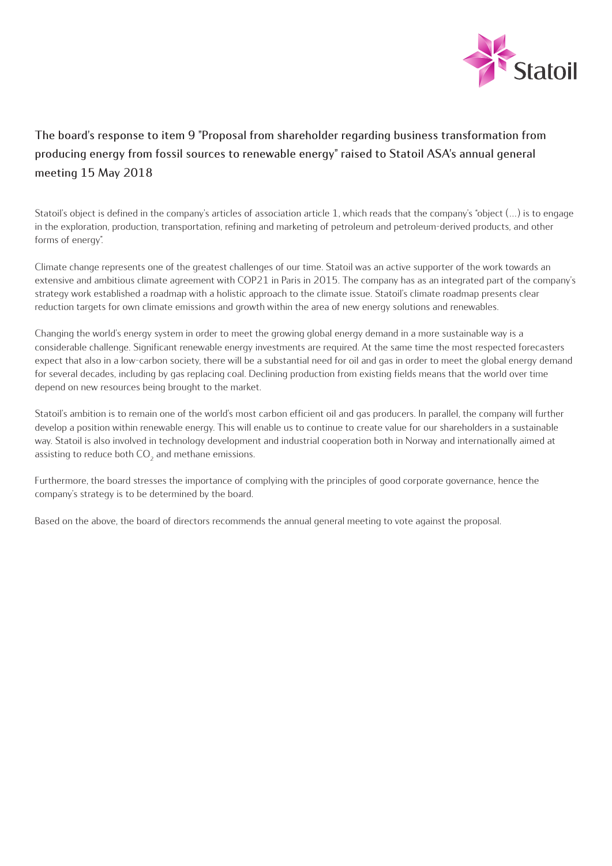

# **The board's response to item 9 "Proposal from shareholder regarding business transformation from producing energy from fossil sources to renewable energy" raised to Statoil ASA's annual general meeting 15 May 2018**

Statoil's object is defined in the company's articles of association article 1, which reads that the company's "object (…) is to engage in the exploration, production, transportation, refining and marketing of petroleum and petroleum-derived products, and other forms of energy".

Climate change represents one of the greatest challenges of our time. Statoil was an active supporter of the work towards an extensive and ambitious climate agreement with COP21 in Paris in 2015. The company has as an integrated part of the company's strategy work established a roadmap with a holistic approach to the climate issue. Statoil's climate roadmap presents clear reduction targets for own climate emissions and growth within the area of new energy solutions and renewables.

Changing the world's energy system in order to meet the growing global energy demand in a more sustainable way is a considerable challenge. Significant renewable energy investments are required. At the same time the most respected forecasters expect that also in a low-carbon society, there will be a substantial need for oil and gas in order to meet the global energy demand for several decades, including by gas replacing coal. Declining production from existing fields means that the world over time depend on new resources being brought to the market.

Statoil's ambition is to remain one of the world's most carbon efficient oil and gas producers. In parallel, the company will further develop a position within renewable energy. This will enable us to continue to create value for our shareholders in a sustainable way. Statoil is also involved in technology development and industrial cooperation both in Norway and internationally aimed at assisting to reduce both  $CO<sub>2</sub>$  and methane emissions.

Furthermore, the board stresses the importance of complying with the principles of good corporate governance, hence the company's strategy is to be determined by the board.

Based on the above, the board of directors recommends the annual general meeting to vote against the proposal.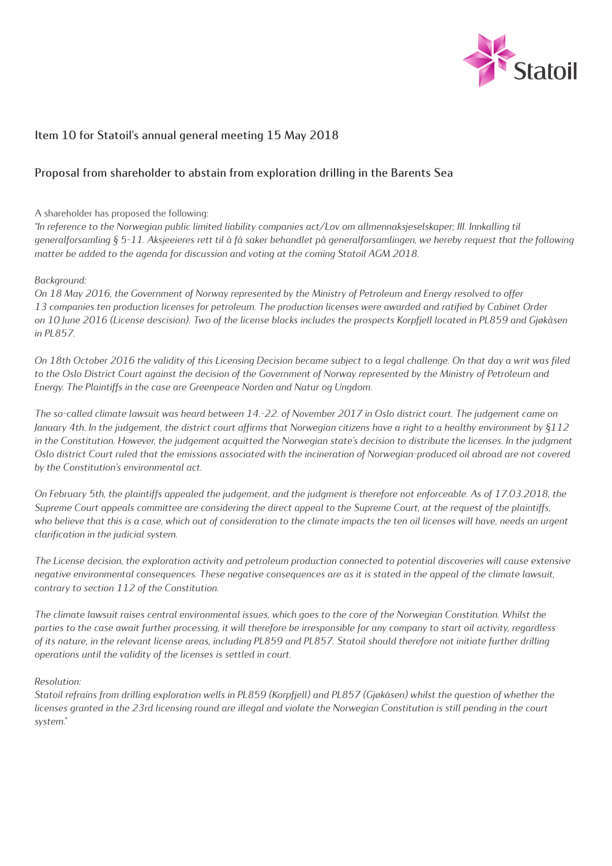

## **Item 10 for Statoil's annual general meeting 15 May 2018**

## **Proposal from shareholder to abstain from exploration drilling in the Barents Sea**

A shareholder has proposed the following:

*"In reference to the Norwegian public limited liability companies act/Lov om allmennaksjeselskaper; III. Innkalling til generalforsamling § 5-11. Aksjeeieres rett til å få saker behandlet på generalforsamlingen, we hereby request that the following matter be added to the agenda for discussion and voting at the coming Statoil AGM 2018.*

#### *Background:*

*On 18 May 2016, the Government of Norway represented by the Ministry of Petroleum and Energy resolved to offer 13 companies ten production licenses for petroleum. The production licenses were awarded and ratified by Cabinet Order on 10 June 2016 (License descision). Two of the license blocks includes the prospects Korpfjell located in PL859 and Gjøkåsen in PL857.* 

*On 18th October 2016 the validity of this Licensing Decision became subject to a legal challenge. On that day a writ was filed to the Oslo District Court against the decision of the Government of Norway represented by the Ministry of Petroleum and Energy. The Plaintiffs in the case are Greenpeace Norden and Natur og Ungdom.* 

*The so-called climate lawsuit was heard between 14.-22. of November 2017 in Oslo district court. The judgement came on January 4th. In the judgement, the district court affirms that Norwegian citizens have a right to a healthy environment by §112*  in the Constitution. However, the judgement acquitted the Norwegian state's decision to distribute the licenses. In the judgment *Oslo district Court ruled that the emissions associated with the incineration of Norwegian-produced oil abroad are not covered by the Constitution's environmental act.* 

*On February 5th, the plaintiffs appealed the judgement, and the judgment is therefore not enforceable. As of 17.03.2018, the Supreme Court appeals committee are considering the direct appeal to the Supreme Court, at the request of the plaintiffs,*  who believe that this is a case, which out of consideration to the climate impacts the ten oil licenses will have, needs an urgent *clarification in the judicial system.* 

*The License decision, the exploration activity and petroleum production connected to potential discoveries will cause extensive negative environmental consequences. These negative consequences are as it is stated in the appeal of the climate lawsuit, contrary to section 112 of the Constitution.* 

*The climate lawsuit raises central environmental issues, which goes to the core of the Norwegian Constitution. Whilst the parties to the case await further processing, it will therefore be irresponsible for any company to start oil activity, regardless of its nature, in the relevant license areas, including PL859 and PL857. Statoil should therefore not initiate further drilling operations until the validity of the licenses is settled in court.* 

#### *Resolution:*

*Statoil refrains from drilling exploration wells in PL859 (Korpfjell) and PL857 (Gjøkåsen) whilst the question of whether the licenses granted in the 23rd licensing round are illegal and violate the Norwegian Constitution is still pending in the court system."*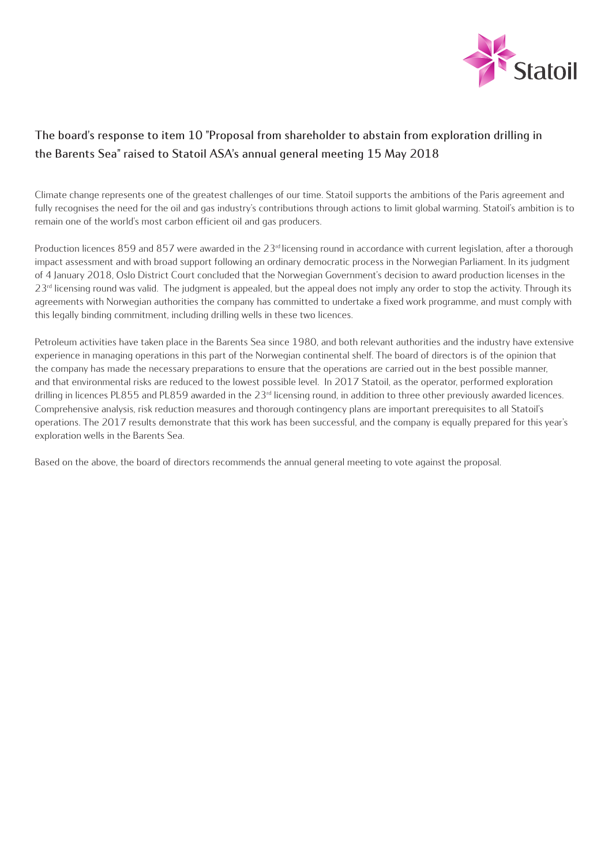

# **The board's response to item 10 "Proposal from shareholder to abstain from exploration drilling in the Barents Sea" raised to Statoil ASA's annual general meeting 15 May 2018**

Climate change represents one of the greatest challenges of our time. Statoil supports the ambitions of the Paris agreement and fully recognises the need for the oil and gas industry's contributions through actions to limit global warming. Statoil's ambition is to remain one of the world's most carbon efficient oil and gas producers.

Production licences 859 and 857 were awarded in the  $23<sup>d</sup>$  licensing round in accordance with current legislation, after a thorough impact assessment and with broad support following an ordinary democratic process in the Norwegian Parliament. In its judgment of 4 January 2018, Oslo District Court concluded that the Norwegian Government's decision to award production licenses in the  $23<sup>rd</sup>$  licensing round was valid. The judgment is appealed, but the appeal does not imply any order to stop the activity. Through its agreements with Norwegian authorities the company has committed to undertake a fixed work programme, and must comply with this legally binding commitment, including drilling wells in these two licences.

Petroleum activities have taken place in the Barents Sea since 1980, and both relevant authorities and the industry have extensive experience in managing operations in this part of the Norwegian continental shelf. The board of directors is of the opinion that the company has made the necessary preparations to ensure that the operations are carried out in the best possible manner, and that environmental risks are reduced to the lowest possible level. In 2017 Statoil, as the operator, performed exploration drilling in licences PL855 and PL859 awarded in the  $23<sup>rd</sup>$  licensing round, in addition to three other previously awarded licences. Comprehensive analysis, risk reduction measures and thorough contingency plans are important prerequisites to all Statoil's operations. The 2017 results demonstrate that this work has been successful, and the company is equally prepared for this year's exploration wells in the Barents Sea.

Based on the above, the board of directors recommends the annual general meeting to vote against the proposal.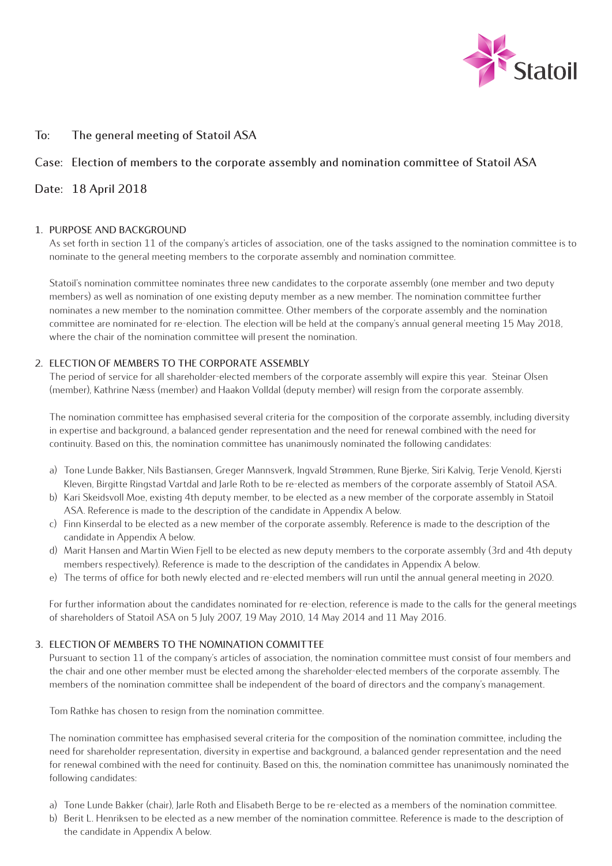

## **To: The general meeting of Statoil ASA**

## **Case: Election of members to the corporate assembly and nomination committee of Statoil ASA**

## **Date: 18 April 2018**

#### **1. PURPOSE AND BACKGROUND**

As set forth in section 11 of the company's articles of association, one of the tasks assigned to the nomination committee is to nominate to the general meeting members to the corporate assembly and nomination committee.

Statoil's nomination committee nominates three new candidates to the corporate assembly (one member and two deputy members) as well as nomination of one existing deputy member as a new member. The nomination committee further nominates a new member to the nomination committee. Other members of the corporate assembly and the nomination committee are nominated for re-election. The election will be held at the company's annual general meeting 15 May 2018, where the chair of the nomination committee will present the nomination.

#### **2. ELECTION OF MEMBERS TO THE CORPORATE ASSEMBLY**

The period of service for all shareholder-elected members of the corporate assembly will expire this year. Steinar Olsen (member), Kathrine Næss (member) and Haakon Volldal (deputy member) will resign from the corporate assembly.

The nomination committee has emphasised several criteria for the composition of the corporate assembly, including diversity in expertise and background, a balanced gender representation and the need for renewal combined with the need for continuity. Based on this, the nomination committee has unanimously nominated the following candidates:

- a) Tone Lunde Bakker, Nils Bastiansen, Greger Mannsverk, Ingvald Strømmen, Rune Bjerke, Siri Kalvig, Terje Venold, Kjersti Kleven, Birgitte Ringstad Vartdal and Jarle Roth to be re-elected as members of the corporate assembly of Statoil ASA.
- b) Kari Skeidsvoll Moe, existing 4th deputy member, to be elected as a new member of the corporate assembly in Statoil ASA. Reference is made to the description of the candidate in Appendix A below.
- c) Finn Kinserdal to be elected as a new member of the corporate assembly. Reference is made to the description of the candidate in Appendix A below.
- d) Marit Hansen and Martin Wien Fjell to be elected as new deputy members to the corporate assembly (3rd and 4th deputy members respectively). Reference is made to the description of the candidates in Appendix A below.
- e) The terms of office for both newly elected and re-elected members will run until the annual general meeting in 2020.

For further information about the candidates nominated for re-election, reference is made to the calls for the general meetings of shareholders of Statoil ASA on 5 July 2007, 19 May 2010, 14 May 2014 and 11 May 2016.

#### **3. ELECTION OF MEMBERS TO THE NOMINATION COMMITTEE**

Pursuant to section 11 of the company's articles of association, the nomination committee must consist of four members and the chair and one other member must be elected among the shareholder-elected members of the corporate assembly. The members of the nomination committee shall be independent of the board of directors and the company's management.

Tom Rathke has chosen to resign from the nomination committee.

The nomination committee has emphasised several criteria for the composition of the nomination committee, including the need for shareholder representation, diversity in expertise and background, a balanced gender representation and the need for renewal combined with the need for continuity. Based on this, the nomination committee has unanimously nominated the following candidates:

- a) Tone Lunde Bakker (chair), Jarle Roth and Elisabeth Berge to be re-elected as a members of the nomination committee.
- b) Berit L. Henriksen to be elected as a new member of the nomination committee. Reference is made to the description of the candidate in Appendix A below.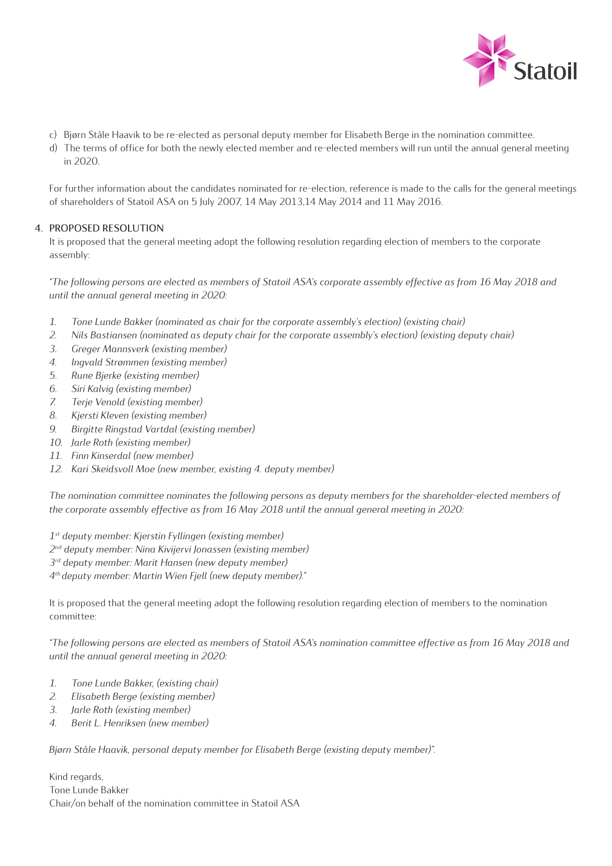

- c) Bjørn Ståle Haavik to be re-elected as personal deputy member for Elisabeth Berge in the nomination committee.
- d) The terms of office for both the newly elected member and re-elected members will run until the annual general meeting in 2020.

For further information about the candidates nominated for re-election, reference is made to the calls for the general meetings of shareholders of Statoil ASA on 5 July 2007, 14 May 2013,14 May 2014 and 11 May 2016.

#### **4. PROPOSED RESOLUTION**

It is proposed that the general meeting adopt the following resolution regarding election of members to the corporate assembly:

*"The following persons are elected as members of Statoil ASA's corporate assembly effective as from 16 May 2018 and until the annual general meeting in 2020:*

- *1. Tone Lunde Bakker (nominated as chair for the corporate assembly's election) (existing chair)*
- *2. Nils Bastiansen (nominated as deputy chair for the corporate assembly's election) (existing deputy chair)*
- *3. Greger Mannsverk (existing member)*
- *4. Ingvald Strømmen (existing member)*
- *5. Rune Bjerke (existing member)*
- *6. Siri Kalvig (existing member)*
- *7. Terje Venold (existing member)*
- *8. Kjersti Kleven (existing member)*
- *9. Birgitte Ringstad Vartdal (existing member)*
- *10. Jarle Roth (existing member)*
- *11. Finn Kinserdal (new member)*
- *12. Kari Skeidsvoll Moe (new member, existing 4. deputy member)*

The nomination committee nominates the following persons as deputy members for the shareholder-elected members of *the corporate assembly effective as from 16 May 2018 until the annual general meeting in 2020:*

- *1st deputy member: Kjerstin Fyllingen (existing member)*
- *2nd deputy member: Nina Kivijervi Jonassen (existing member)*
- *3rd deputy member: Marit Hansen (new deputy member)*
- *4th deputy member: Martin Wien Fjell (new deputy member)."*

It is proposed that the general meeting adopt the following resolution regarding election of members to the nomination committee:

*"The following persons are elected as members of Statoil ASA's nomination committee effective as from 16 May 2018 and until the annual general meeting in 2020:*

- *1. Tone Lunde Bakker, (existing chair)*
- *2. Elisabeth Berge (existing member)*
- *3. Jarle Roth (existing member)*
- *4. Berit L. Henriksen (new member)*

*Bjørn Ståle Haavik, personal deputy member for Elisabeth Berge (existing deputy member)".* 

Kind regards, Tone Lunde Bakker Chair/on behalf of the nomination committee in Statoil ASA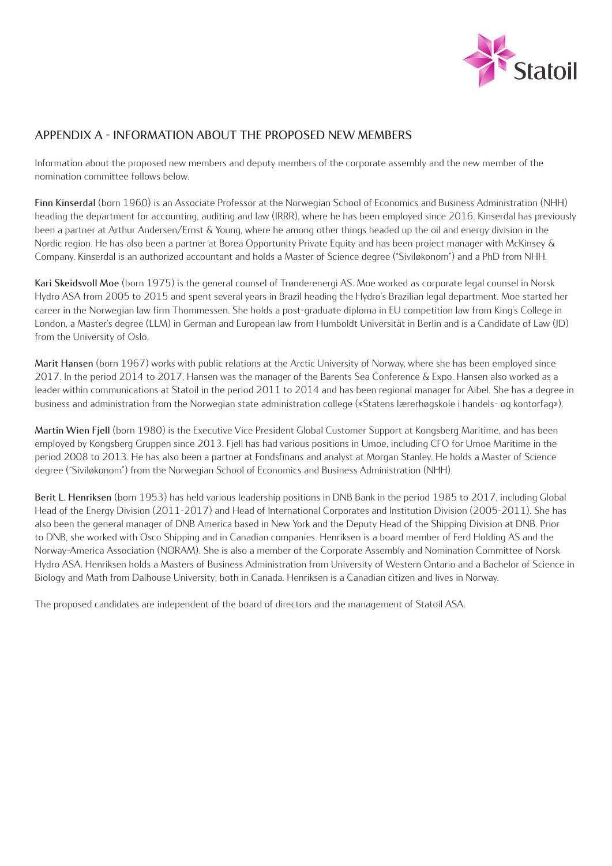

## **APPENDIX A - INFORMATION ABOUT THE PROPOSED NEW MEMBERS**

Information about the proposed new members and deputy members of the corporate assembly and the new member of the nomination committee follows below.

**Finn Kinserdal** (born 1960) is an Associate Professor at the Norwegian School of Economics and Business Administration (NHH) heading the department for accounting, auditing and law (IRRR), where he has been employed since 2016. Kinserdal has previously been a partner at Arthur Andersen/Ernst & Young, where he among other things headed up the oil and energy division in the Nordic region. He has also been a partner at Borea Opportunity Private Equity and has been project manager with McKinsey & Company. Kinserdal is an authorized accountant and holds a Master of Science degree ("Siviløkonom") and a PhD from NHH.

**Kari Skeidsvoll Moe** (born 1975) is the general counsel of Trønderenergi AS. Moe worked as corporate legal counsel in Norsk Hydro ASA from 2005 to 2015 and spent several years in Brazil heading the Hydro's Brazilian legal department. Moe started her career in the Norwegian law firm Thommessen. She holds a post-graduate diploma in EU competition law from King's College in London, a Master's degree (LLM) in German and European law from Humboldt Universität in Berlin and is a Candidate of Law (JD) from the University of Oslo.

**Marit Hansen** (born 1967) works with public relations at the Arctic University of Norway, where she has been employed since 2017. In the period 2014 to 2017, Hansen was the manager of the Barents Sea Conference & Expo. Hansen also worked as a leader within communications at Statoil in the period 2011 to 2014 and has been regional manager for Aibel. She has a degree in business and administration from the Norwegian state administration college («Statens lærerhøgskole i handels- og kontorfag»).

**Martin Wien Fjell** (born 1980) is the Executive Vice President Global Customer Support at Kongsberg Maritime, and has been employed by Kongsberg Gruppen since 2013. Fjell has had various positions in Umoe, including CFO for Umoe Maritime in the period 2008 to 2013. He has also been a partner at Fondsfinans and analyst at Morgan Stanley. He holds a Master of Science degree ("Siviløkonom") from the Norwegian School of Economics and Business Administration (NHH).

**Berit L. Henriksen** (born 1953) has held various leadership positions in DNB Bank in the period 1985 to 2017, including Global Head of the Energy Division (2011-2017) and Head of International Corporates and Institution Division (2005-2011). She has also been the general manager of DNB America based in New York and the Deputy Head of the Shipping Division at DNB. Prior to DNB, she worked with Osco Shipping and in Canadian companies. Henriksen is a board member of Ferd Holding AS and the Norway-America Association (NORAM). She is also a member of the Corporate Assembly and Nomination Committee of Norsk Hydro ASA. Henriksen holds a Masters of Business Administration from University of Western Ontario and a Bachelor of Science in Biology and Math from Dalhouse University; both in Canada. Henriksen is a Canadian citizen and lives in Norway.

The proposed candidates are independent of the board of directors and the management of Statoil ASA.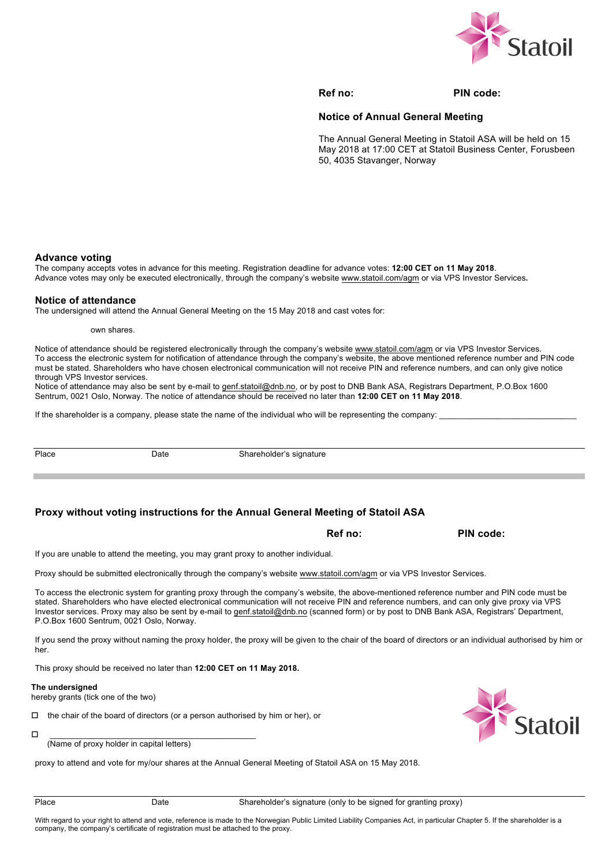

**Ref no:** PIN code:

#### **Notice of Annual General Meeting**

The Annual General Meeting in Statoil ASA will be held on 15 May 2018 at 17:00 CET at Statoil Business Center, Forusbeen 50, 4035 Stavanger, Norway

#### **Advance voting**

The company accepts votes in advance for this meeting. Registration deadline for advance votes: **12:00 CET on 11 May 2018**. Advance votes may only be executed electronically, through the company's website www.statoil.com/agm or via VPS Investor Services**.**

#### **Notice of attendance**

The undersigned will attend the Annual General Meeting on the 15 May 2018 and cast votes for:

own shares.

Notice of attendance should be registered electronically through the company's website www.statoil.com/agm or via VPS Investor Services. To access the electronic system for notification of attendance through the company's website, the above mentioned reference number and PIN code must be stated. Shareholders who have chosen electronical communication will not receive PIN and reference numbers, and can only give notice through VPS Investor services.

Notice of attendance may also be sent by e-mail to genf.statoil@dnb.no, or by post to DNB Bank ASA, Registrars Department, P.O.Box 1600 Sentrum, 0021 Oslo, Norway. The notice of attendance should be received no later than **12:00 CET on 11 May 2018**.

If the shareholder is a company, please state the name of the individual who will be representing the company:

Place Date Date Shareholder's signature

#### **Proxy without voting instructions for the Annual General Meeting of Statoil ASA**

**Ref no:** PIN code:

If you are unable to attend the meeting, you may grant proxy to another individual.

Proxy should be submitted electronically through the company's website www.statoil.com/agm or via VPS Investor Services.

To access the electronic system for granting proxy through the company's website, the above-mentioned reference number and PIN code must be stated. Shareholders who have elected electronical communication will not receive PIN and reference numbers, and can only give proxy via VPS Investor services. Proxy may also be sent by e-mail to genf.statoil@dnb.no (scanned form) or by post to DNB Bank ASA, Registrars' Department, P.O.Box 1600 Sentrum, 0021 Oslo, Norway.

If you send the proxy without naming the proxy holder, the proxy will be given to the chair of the board of directors or an individual authorised by him or her.

This proxy should be received no later than **12:00 CET on 11 May 2018.**

#### **The undersigned**

hereby grants (tick one of the two)

 $\Box$  the chair of the board of directors (or a person authorised by him or her), or

o \_\_\_\_\_\_\_\_\_\_\_\_\_\_\_\_\_\_\_\_\_\_\_\_\_\_\_\_\_\_\_\_\_\_\_\_\_\_\_\_\_\_\_\_\_

(Name of proxy holder in capital letters)

proxy to attend and vote for my/our shares at the Annual General Meeting of Statoil ASA on 15 May 2018.



With regard to your right to attend and vote, reference is made to the Norwegian Public Limited Liability Companies Act, in particular Chapter 5. If the shareholder is a company, the company's certificate of registration must be attached to the proxy.